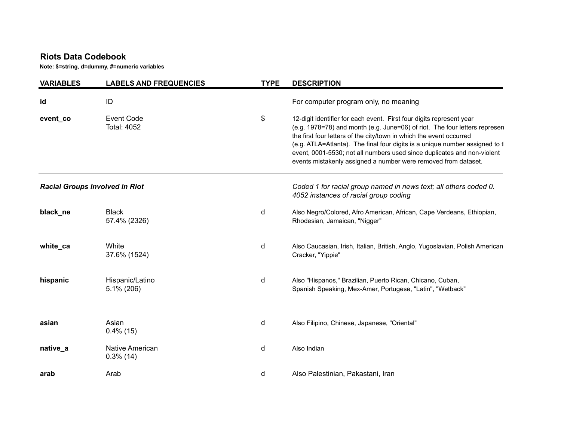# **Riots Data Codebook**

**Note: \$=string, d=dummy, #=numeric variables**

| <b>VARIABLES</b>                      | <b>LABELS AND FREQUENCIES</b>           | <b>TYPE</b> | <b>DESCRIPTION</b>                                                                                                                                                                                                                                                                                                                                                                                                                                    |
|---------------------------------------|-----------------------------------------|-------------|-------------------------------------------------------------------------------------------------------------------------------------------------------------------------------------------------------------------------------------------------------------------------------------------------------------------------------------------------------------------------------------------------------------------------------------------------------|
| id                                    | ID                                      |             | For computer program only, no meaning                                                                                                                                                                                                                                                                                                                                                                                                                 |
| event_co                              | <b>Event Code</b><br><b>Total: 4052</b> | \$          | 12-digit identifier for each event. First four digits represent year<br>(e.g. 1978=78) and month (e.g. June=06) of riot. The four letters represen<br>the first four letters of the city/town in which the event occurred<br>(e.g. ATLA=Atlanta). The final four digits is a unique number assigned to t<br>event, 0001-5530; not all numbers used since duplicates and non-violent<br>events mistakenly assigned a number were removed from dataset. |
| <b>Racial Groups Involved in Riot</b> |                                         |             | Coded 1 for racial group named in news text; all others coded 0.<br>4052 instances of racial group coding                                                                                                                                                                                                                                                                                                                                             |
| black_ne                              | <b>Black</b><br>57.4% (2326)            | d           | Also Negro/Colored, Afro American, African, Cape Verdeans, Ethiopian,<br>Rhodesian, Jamaican, "Nigger"                                                                                                                                                                                                                                                                                                                                                |
| white_ca                              | White<br>37.6% (1524)                   | d           | Also Caucasian, Irish, Italian, British, Anglo, Yugoslavian, Polish American<br>Cracker, "Yippie"                                                                                                                                                                                                                                                                                                                                                     |
| hispanic                              | Hispanic/Latino<br>5.1% (206)           | d           | Also "Hispanos," Brazilian, Puerto Rican, Chicano, Cuban,<br>Spanish Speaking, Mex-Amer, Portugese, "Latin", "Wetback"                                                                                                                                                                                                                                                                                                                                |
| asian                                 | Asian<br>$0.4\%$ (15)                   | d           | Also Filipino, Chinese, Japanese, "Oriental"                                                                                                                                                                                                                                                                                                                                                                                                          |
| native_a                              | Native American<br>$0.3\%$ (14)         | d           | Also Indian                                                                                                                                                                                                                                                                                                                                                                                                                                           |
| arab                                  | Arab                                    | d           | Also Palestinian, Pakastani, Iran                                                                                                                                                                                                                                                                                                                                                                                                                     |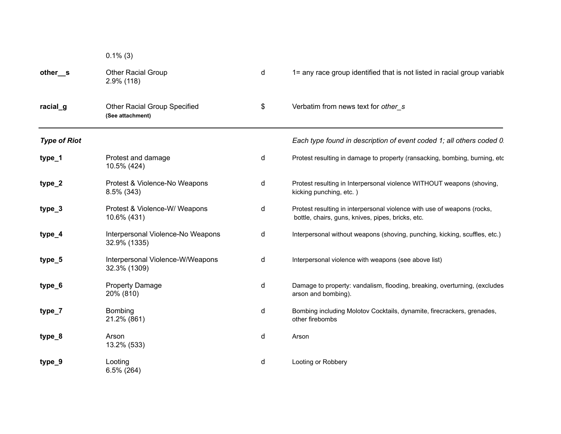| other_s             | <b>Other Racial Group</b><br>$2.9\%$ (118)        | d  | 1= any race group identified that is not listed in racial group variable                                                     |
|---------------------|---------------------------------------------------|----|------------------------------------------------------------------------------------------------------------------------------|
| racial_g            | Other Racial Group Specified<br>(See attachment)  | \$ | Verbatim from news text for other s                                                                                          |
| <b>Type of Riot</b> |                                                   |    | Each type found in description of event coded 1; all others coded 0.                                                         |
| type_1              | Protest and damage<br>10.5% (424)                 | d  | Protest resulting in damage to property (ransacking, bombing, burning, etc                                                   |
| type_2              | Protest & Violence-No Weapons<br>$8.5\%$ (343)    | d  | Protest resulting in Interpersonal violence WITHOUT weapons (shoving,<br>kicking punching, etc.)                             |
| type_3              | Protest & Violence-W/ Weapons<br>10.6% (431)      | d  | Protest resulting in interpersonal violence with use of weapons (rocks,<br>bottle, chairs, guns, knives, pipes, bricks, etc. |
| type_4              | Interpersonal Violence-No Weapons<br>32.9% (1335) | d  | Interpersonal without weapons (shoving, punching, kicking, scuffles, etc.)                                                   |
| type_5              | Interpersonal Violence-W/Weapons<br>32.3% (1309)  | d  | Interpersonal violence with weapons (see above list)                                                                         |
| type_6              | <b>Property Damage</b><br>20% (810)               | d  | Damage to property: vandalism, flooding, breaking, overturning, (excludes<br>arson and bombing).                             |
| type_7              | Bombing<br>21.2% (861)                            | d  | Bombing including Molotov Cocktails, dynamite, firecrackers, grenades,<br>other firebombs                                    |
| type_8              | Arson<br>13.2% (533)                              | d  | Arson                                                                                                                        |
| type_9              | Looting<br>$6.5\%$ (264)                          | d  | Looting or Robbery                                                                                                           |

0.1% (3)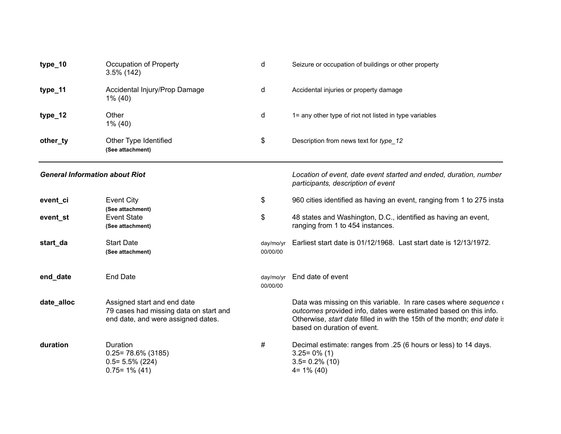| type_10                               | Occupation of Property<br>$3.5\%$ (142)                                                                     | d                     | Seizure or occupation of buildings or other property                                                                                                                                                                                             |
|---------------------------------------|-------------------------------------------------------------------------------------------------------------|-----------------------|--------------------------------------------------------------------------------------------------------------------------------------------------------------------------------------------------------------------------------------------------|
| type_11                               | Accidental Injury/Prop Damage<br>$1\%$ (40)                                                                 | d                     | Accidental injuries or property damage                                                                                                                                                                                                           |
| type_12                               | Other<br>1% (40)                                                                                            | d                     | 1= any other type of riot not listed in type variables                                                                                                                                                                                           |
| other_ty                              | Other Type Identified<br>(See attachment)                                                                   | \$                    | Description from news text for type_12                                                                                                                                                                                                           |
| <b>General Information about Riot</b> |                                                                                                             |                       | Location of event, date event started and ended, duration, number<br>participants, description of event                                                                                                                                          |
| event_ci                              | <b>Event City</b><br>(See attachment)                                                                       | \$                    | 960 cities identified as having an event, ranging from 1 to 275 insta                                                                                                                                                                            |
| event_st                              | <b>Event State</b><br>(See attachment)                                                                      | \$                    | 48 states and Washington, D.C., identified as having an event,<br>ranging from 1 to 454 instances.                                                                                                                                               |
| start_da                              | <b>Start Date</b><br>(See attachment)                                                                       | day/mo/yr<br>00/00/00 | Earliest start date is 01/12/1968. Last start date is 12/13/1972.                                                                                                                                                                                |
| end_date                              | <b>End Date</b>                                                                                             | day/mo/yr<br>00/00/00 | End date of event                                                                                                                                                                                                                                |
| date_alloc                            | Assigned start and end date<br>79 cases had missing data on start and<br>end date, and were assigned dates. |                       | Data was missing on this variable. In rare cases where sequence of<br>outcomes provided info, dates were estimated based on this info.<br>Otherwise, start date filled in with the 15th of the month; end date is<br>based on duration of event. |
| duration                              | <b>Duration</b><br>$0.25 = 78.6\%$ (3185)<br>$0.5 = 5.5\%$ (224)<br>$0.75 = 1\% (41)$                       | #                     | Decimal estimate: ranges from .25 (6 hours or less) to 14 days.<br>$3.25 = 0\% (1)$<br>$3.5 = 0.2\%$ (10)<br>$4 = 1\% (40)$                                                                                                                      |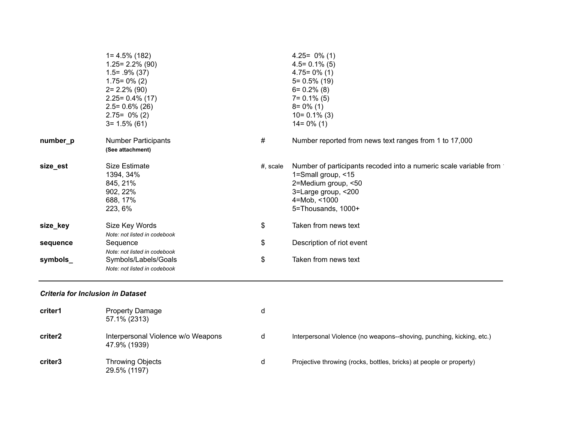|          | $1 = 4.5\%$ (182)<br>$1.25 = 2.2\%$ (90)<br>$1.5 = .9\%$ (37)<br>$1.75 = 0\% (2)$<br>$2 = 2.2\%$ (90)<br>$2.25 = 0.4\%$ (17)<br>$2.5 = 0.6\%$ (26)<br>$2.75 = 0\% (2)$<br>$3 = 1.5\%$ (61) |          | $4.25 = 0\% (1)$<br>$4.5 = 0.1\%$ (5)<br>$4.75 = 0\%$ (1)<br>$5 = 0.5\%$ (19)<br>$6 = 0.2\%$ (8)<br>$7 = 0.1\%$ (5)<br>$8 = 0\%$ (1)<br>$10 = 0.1\%$ (3)<br>$14 = 0\%$ (1)  |
|----------|--------------------------------------------------------------------------------------------------------------------------------------------------------------------------------------------|----------|-----------------------------------------------------------------------------------------------------------------------------------------------------------------------------|
| number_p | <b>Number Participants</b><br>(See attachment)                                                                                                                                             | #        | Number reported from news text ranges from 1 to 17,000                                                                                                                      |
| size_est | Size Estimate<br>1394, 34%<br>845, 21%<br>902, 22%<br>688, 17%<br>223, 6%                                                                                                                  | #, scale | Number of participants recoded into a numeric scale variable from<br>1=Small group, <15<br>2=Medium group, <50<br>3=Large group, <200<br>4=Mob, <1000<br>5=Thousands, 1000+ |
| size_key | Size Key Words<br>Note: not listed in codebook                                                                                                                                             | \$       | Taken from news text                                                                                                                                                        |
| sequence | Sequence<br>Note: not listed in codebook                                                                                                                                                   | \$       | Description of riot event                                                                                                                                                   |
| symbols_ | Symbols/Labels/Goals<br>Note: not listed in codebook                                                                                                                                       | \$       | Taken from news text                                                                                                                                                        |
|          | <b>Criteria for Inclusion in Dataset</b>                                                                                                                                                   |          |                                                                                                                                                                             |
| criter1  | <b>Property Damage</b><br>57.1% (2313)                                                                                                                                                     | d        |                                                                                                                                                                             |
| criter2  | Interpersonal Violence w/o Weapons<br>47.9% (1939)                                                                                                                                         | d        | Interpersonal Violence (no weapons--shoving, punching, kicking, etc.)                                                                                                       |

Throwing Objects<br>29.5% (1197)

**criter3** Throwing Objects and the Projective throwing (rocks, bottles, bricks) at people or property)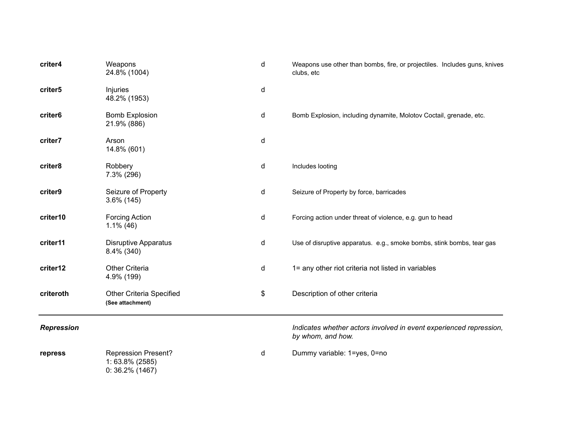| criter4           | Weapons<br>24.8% (1004)                                            | d  | Weapons use other than bombs, fire, or projectiles. Includes guns, knives<br>clubs, etc |
|-------------------|--------------------------------------------------------------------|----|-----------------------------------------------------------------------------------------|
| criter5           | Injuries<br>48.2% (1953)                                           | d  |                                                                                         |
| criter6           | <b>Bomb Explosion</b><br>21.9% (886)                               | d  | Bomb Explosion, including dynamite, Molotov Coctail, grenade, etc.                      |
| criter7           | Arson<br>14.8% (601)                                               | d  |                                                                                         |
| criter8           | Robbery<br>7.3% (296)                                              | d  | Includes looting                                                                        |
| criter9           | Seizure of Property<br>$3.6\%$ (145)                               | d  | Seizure of Property by force, barricades                                                |
| criter10          | <b>Forcing Action</b><br>$1.1\%$ (46)                              | d  | Forcing action under threat of violence, e.g. gun to head                               |
| criter11          | <b>Disruptive Apparatus</b><br>8.4% (340)                          | d  | Use of disruptive apparatus. e.g., smoke bombs, stink bombs, tear gas                   |
| criter12          | <b>Other Criteria</b><br>4.9% (199)                                | d  | 1= any other riot criteria not listed in variables                                      |
| criteroth         | <b>Other Criteria Specified</b><br>(See attachment)                | \$ | Description of other criteria                                                           |
| <b>Repression</b> |                                                                    |    | Indicates whether actors involved in event experienced repression,<br>by whom, and how. |
| repress           | <b>Repression Present?</b><br>1:63.8% (2585)<br>$0: 36.2\% (1467)$ | d  | Dummy variable: 1=yes, 0=no                                                             |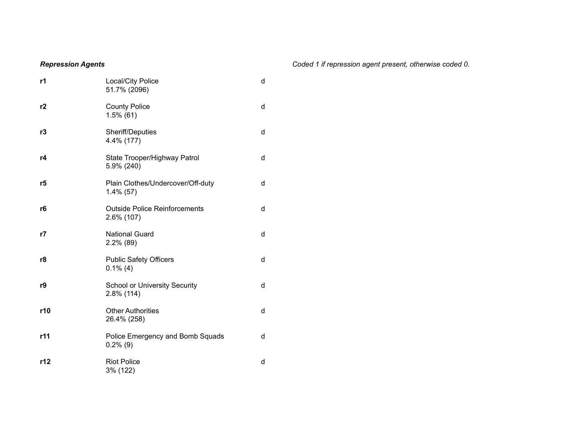| r1  | Local/City Police<br>51.7% (2096)                  | d |
|-----|----------------------------------------------------|---|
| r2  | <b>County Police</b><br>$1.5\%$ (61)               | d |
| r3  | Sheriff/Deputies<br>4.4% (177)                     | d |
| r4  | State Trooper/Highway Patrol<br>5.9% (240)         | d |
| r5  | Plain Clothes/Undercover/Off-duty<br>$1.4\%$ (57)  | d |
| r6  | <b>Outside Police Reinforcements</b><br>2.6% (107) | d |
| r7  | <b>National Guard</b><br>2.2% (89)                 | d |
| r8  | <b>Public Safety Officers</b><br>$0.1\%$ (4)       | d |
| r9  | <b>School or University Security</b><br>2.8% (114) | d |
| r10 | <b>Other Authorities</b><br>26.4% (258)            | d |
| r11 | Police Emergency and Bomb Squads<br>$0.2\%$ (9)    | d |
| r12 | <b>Riot Police</b><br>3% (122)                     | d |

*Repression Agents Coded 1 if repression agent present, otherwise coded 0.*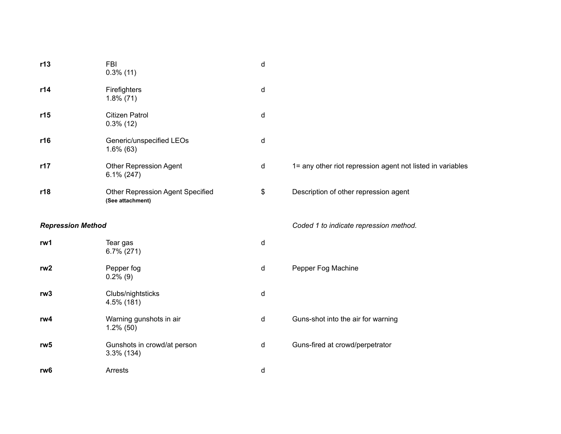| r13                      | <b>FBI</b><br>$0.3\%$ (11)                                  | d  |                                                            |
|--------------------------|-------------------------------------------------------------|----|------------------------------------------------------------|
| r14                      | Firefighters<br>$1.8\%$ (71)                                | d  |                                                            |
| r15                      | <b>Citizen Patrol</b><br>$0.3\%$ (12)                       | d  |                                                            |
| r16                      | Generic/unspecified LEOs<br>$1.6\%$ (63)                    | d  |                                                            |
| r17                      | <b>Other Repression Agent</b><br>$6.1\% (247)$              | d  | 1= any other riot repression agent not listed in variables |
| r18                      | <b>Other Repression Agent Specified</b><br>(See attachment) | \$ | Description of other repression agent                      |
| <b>Repression Method</b> |                                                             |    | Coded 1 to indicate repression method.                     |
| rw1                      | Tear gas<br>$6.7\%$ (271)                                   | d  |                                                            |
| rw <sub>2</sub>          | Pepper fog<br>$0.2\%$ (9)                                   | d  | Pepper Fog Machine                                         |
| rw <sub>3</sub>          | Clubs/nightsticks<br>4.5% (181)                             | d  |                                                            |
| rw4                      | Warning gunshots in air<br>$1.2\%$ (50)                     | d  | Guns-shot into the air for warning                         |
| rw <sub>5</sub>          | Gunshots in crowd/at person<br>3.3% (134)                   | d  | Guns-fired at crowd/perpetrator                            |
|                          |                                                             |    |                                                            |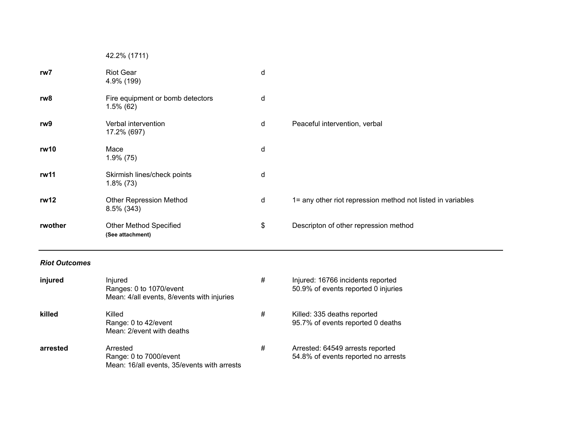42.2% (1711)

| rw7                  | <b>Riot Gear</b><br>4.9% (199)                                                    | d  |                                                                          |
|----------------------|-----------------------------------------------------------------------------------|----|--------------------------------------------------------------------------|
| rw8                  | Fire equipment or bomb detectors<br>$1.5\%$ (62)                                  | d  |                                                                          |
| rw9                  | Verbal intervention<br>17.2% (697)                                                | d  | Peaceful intervention, verbal                                            |
| rw10                 | Mace<br>1.9% (75)                                                                 | d  |                                                                          |
| rw11                 | Skirmish lines/check points<br>$1.8\%$ (73)                                       | d  |                                                                          |
| rw12                 | <b>Other Repression Method</b><br>8.5% (343)                                      | d  | 1= any other riot repression method not listed in variables              |
| rwother              | <b>Other Method Specified</b><br>(See attachment)                                 | \$ | Descripton of other repression method                                    |
| <b>Riot Outcomes</b> |                                                                                   |    |                                                                          |
| injured              | Injured<br>Ranges: 0 to 1070/event<br>Mean: 4/all events, 8/events with injuries  | #  | Injured: 16766 incidents reported<br>50.9% of events reported 0 injuries |
| killed               | Killed<br>Range: 0 to 42/event<br>Mean: 2/event with deaths                       | #  | Killed: 335 deaths reported<br>95.7% of events reported 0 deaths         |
| arrested             | Arrested<br>Range: 0 to 7000/event<br>Mean: 16/all events, 35/events with arrests | #  | Arrested: 64549 arrests reported<br>54.8% of events reported no arrests  |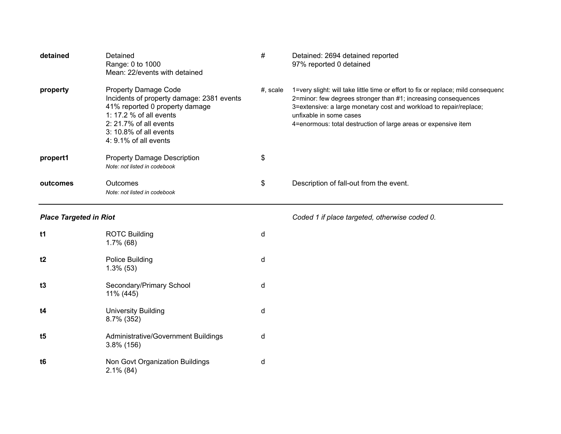| detained                      | Detained<br>Range: 0 to 1000<br>Mean: 22/events with detained                                                                                                                                                      | #        | Detained: 2694 detained reported<br>97% reported 0 detained                                                                                                                                                                                                                                                            |
|-------------------------------|--------------------------------------------------------------------------------------------------------------------------------------------------------------------------------------------------------------------|----------|------------------------------------------------------------------------------------------------------------------------------------------------------------------------------------------------------------------------------------------------------------------------------------------------------------------------|
| property                      | <b>Property Damage Code</b><br>Incidents of property damage: 2381 events<br>41% reported 0 property damage<br>1: 17.2 % of all events<br>2: 21.7% of all events<br>3: 10.8% of all events<br>4: 9.1% of all events | #, scale | 1=very slight: will take little time or effort to fix or replace; mild consequenc<br>2=minor: few degrees stronger than #1; increasing consequences<br>3=extensive: a large monetary cost and workload to repair/replace;<br>unfixable in some cases<br>4=enormous: total destruction of large areas or expensive item |
| propert1                      | <b>Property Damage Description</b><br>Note: not listed in codebook                                                                                                                                                 | \$       |                                                                                                                                                                                                                                                                                                                        |
| outcomes                      | Outcomes<br>Note: not listed in codebook                                                                                                                                                                           | \$       | Description of fall-out from the event.                                                                                                                                                                                                                                                                                |
| <b>Place Targeted in Riot</b> |                                                                                                                                                                                                                    |          | Coded 1 if place targeted, otherwise coded 0.                                                                                                                                                                                                                                                                          |
| t1                            | <b>ROTC Building</b><br>$1.7\%$ (68)                                                                                                                                                                               | d        |                                                                                                                                                                                                                                                                                                                        |
| t2                            | Police Building<br>$1.3\%$ (53)                                                                                                                                                                                    | d        |                                                                                                                                                                                                                                                                                                                        |
| t3                            | Secondary/Primary School<br>11% (445)                                                                                                                                                                              | d        |                                                                                                                                                                                                                                                                                                                        |
| t4                            | <b>University Building</b><br>8.7% (352)                                                                                                                                                                           | d        |                                                                                                                                                                                                                                                                                                                        |
| t5                            | Administrative/Government Buildings<br>3.8% (156)                                                                                                                                                                  | d        |                                                                                                                                                                                                                                                                                                                        |
| t6                            | Non Govt Organization Buildings<br>$2.1\%$ (84)                                                                                                                                                                    | d        |                                                                                                                                                                                                                                                                                                                        |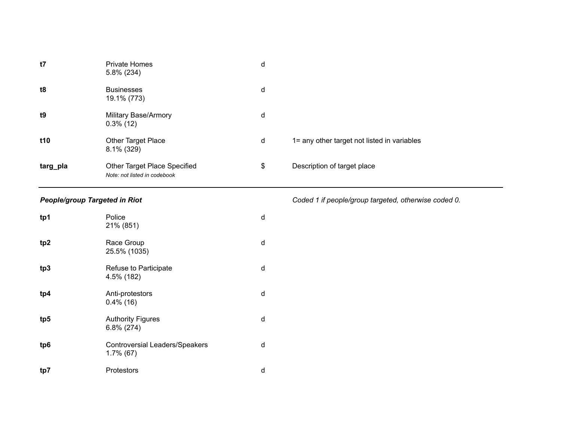| t7       | <b>Private Homes</b><br>5.8% (234)                           | d  |                                                      |
|----------|--------------------------------------------------------------|----|------------------------------------------------------|
| t8       | <b>Businesses</b><br>19.1% (773)                             | d  |                                                      |
| t9       | Military Base/Armory<br>$0.3\%$ (12)                         | d  |                                                      |
| t10      | Other Target Place<br>8.1% (329)                             | d  | 1= any other target not listed in variables          |
| targ_pla | Other Target Place Specified<br>Note: not listed in codebook | \$ | Description of target place                          |
|          | People/group Targeted in Riot                                |    | Coded 1 if people/group targeted, otherwise coded 0. |
| tp1      | Police<br>21% (851)                                          | d  |                                                      |
| tp2      | Race Group<br>25.5% (1035)                                   | d  |                                                      |
| tp3      | Refuse to Participate<br>4.5% (182)                          | d  |                                                      |
| tp4      | Anti-protestors<br>$0.4\%$ (16)                              | d  |                                                      |
| tp5      | <b>Authority Figures</b><br>$6.8\%$ (274)                    | d  |                                                      |
| tp6      | <b>Controversial Leaders/Speakers</b><br>$1.7\%$ (67)        | d  |                                                      |
| tp7      | Protestors                                                   | d  |                                                      |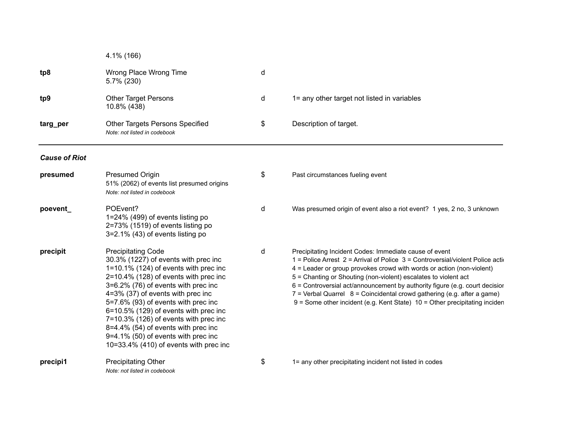| tp8                  | Wrong Place Wrong Time<br>5.7% (230)                                                                                                                                                                                                                                                                                                                                                                                                                                                | d  |                                                                                                                                                                                                                                                                                                                                                                                                                                                                                                                                         |
|----------------------|-------------------------------------------------------------------------------------------------------------------------------------------------------------------------------------------------------------------------------------------------------------------------------------------------------------------------------------------------------------------------------------------------------------------------------------------------------------------------------------|----|-----------------------------------------------------------------------------------------------------------------------------------------------------------------------------------------------------------------------------------------------------------------------------------------------------------------------------------------------------------------------------------------------------------------------------------------------------------------------------------------------------------------------------------------|
| tp9                  | <b>Other Target Persons</b><br>10.8% (438)                                                                                                                                                                                                                                                                                                                                                                                                                                          | d  | 1= any other target not listed in variables                                                                                                                                                                                                                                                                                                                                                                                                                                                                                             |
| targ_per             | <b>Other Targets Persons Specified</b><br>Note: not listed in codebook                                                                                                                                                                                                                                                                                                                                                                                                              | \$ | Description of target.                                                                                                                                                                                                                                                                                                                                                                                                                                                                                                                  |
| <b>Cause of Riot</b> |                                                                                                                                                                                                                                                                                                                                                                                                                                                                                     |    |                                                                                                                                                                                                                                                                                                                                                                                                                                                                                                                                         |
| presumed             | <b>Presumed Origin</b><br>51% (2062) of events list presumed origins<br>Note: not listed in codebook                                                                                                                                                                                                                                                                                                                                                                                | \$ | Past circumstances fueling event                                                                                                                                                                                                                                                                                                                                                                                                                                                                                                        |
| poevent_             | POEvent?<br>1=24% (499) of events listing po<br>2=73% (1519) of events listing po<br>$3=2.1\%$ (43) of events listing po                                                                                                                                                                                                                                                                                                                                                            | d  | Was presumed origin of event also a riot event? 1 yes, 2 no, 3 unknown                                                                                                                                                                                                                                                                                                                                                                                                                                                                  |
| precipit             | <b>Precipitating Code</b><br>30.3% (1227) of events with prec inc<br>$1=10.1\%$ (124) of events with prec inc<br>2=10.4% (128) of events with prec inc<br>3=6.2% (76) of events with prec inc<br>4=3% (37) of events with prec inc<br>5=7.6% (93) of events with prec inc<br>6=10.5% (129) of events with prec inc<br>7=10.3% (126) of events with prec inc<br>8=4.4% (54) of events with prec inc<br>9=4.1% (50) of events with prec inc<br>10=33.4% (410) of events with prec inc | d  | Precipitating Incident Codes: Immediate cause of event<br>$1$ = Police Arrest 2 = Arrival of Police 3 = Controversial/violent Police action<br>4 = Leader or group provokes crowd with words or action (non-violent)<br>5 = Chanting or Shouting (non-violent) escalates to violent act<br>6 = Controversial act/announcement by authority figure (e.g. court decisior<br>$7$ = Verbal Quarrel $8$ = Coincidental crowd gathering (e.g. after a game)<br>$9$ = Some other incident (e.g. Kent State) $10$ = Other precipitating inciden |
| precipi1             | <b>Precipitating Other</b><br>Note: not listed in codebook                                                                                                                                                                                                                                                                                                                                                                                                                          | \$ | 1= any other precipitating incident not listed in codes                                                                                                                                                                                                                                                                                                                                                                                                                                                                                 |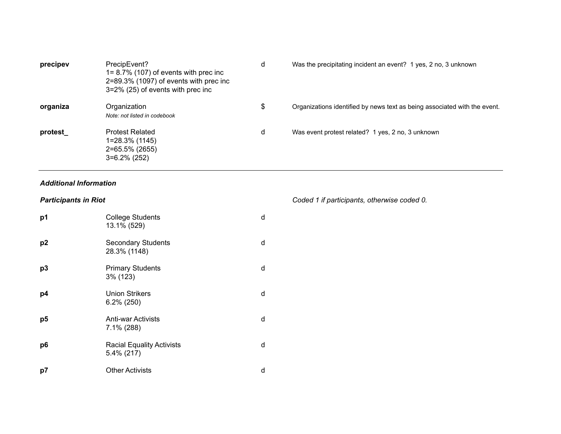| precipev | PrecipEvent?<br>$1 = 8.7\%$ (107) of events with prec inc<br>$2=89.3\%$ (1097) of events with prec inc<br>$3=2\%$ (25) of events with prec inc | d  | Was the precipitating incident an event? 1 yes, 2 no, 3 unknown           |
|----------|------------------------------------------------------------------------------------------------------------------------------------------------|----|---------------------------------------------------------------------------|
| organiza | Organization<br>Note: not listed in codebook                                                                                                   | \$ | Organizations identified by news text as being associated with the event. |
| protest  | <b>Protest Related</b><br>1=28.3% (1145)<br>2=65.5% (2655)<br>$3=6.2\%$ (252)                                                                  | d  | Was event protest related? 1 yes, 2 no, 3 unknown                         |

## *Additional Information*

| p1             | <b>College Students</b><br>13.1% (529)         | d |
|----------------|------------------------------------------------|---|
| p <sub>2</sub> | <b>Secondary Students</b><br>28.3% (1148)      | d |
| p3             | <b>Primary Students</b><br>3% (123)            | d |
| p4             | <b>Union Strikers</b><br>$6.2\%$ (250)         | d |
| p5             | Anti-war Activists<br>$7.1\%$ (288)            | d |
| p6             | <b>Racial Equality Activists</b><br>5.4% (217) | d |
| p7             | Other Activists                                | d |

*Participants in Riot Coded 1 if participants, otherwise coded 0.*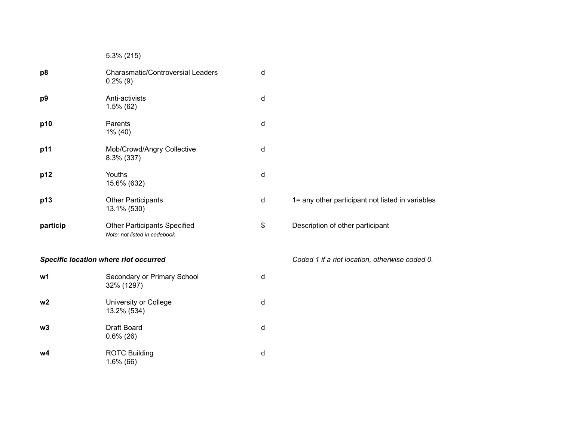### 5.3% (215)

| p8             | Charasmatic/Controversial Leaders<br>$0.2\%$ (9)                    | d  |                |
|----------------|---------------------------------------------------------------------|----|----------------|
| p <sub>9</sub> | Anti-activists<br>$1.5\%$ (62)                                      | d  |                |
| p10            | Parents<br>1% (40)                                                  | d  |                |
| p11            | Mob/Crowd/Angry Collective<br>8.3% (337)                            | d  |                |
| p12            | Youths<br>15.6% (632)                                               | d  |                |
| p13            | <b>Other Participants</b><br>13.1% (530)                            | d  | $1 =$ any othe |
| particip       | <b>Other Participants Specified</b><br>Note: not listed in codebook | \$ | Description    |
|                | <b>Specific location where riot occurred</b>                        |    | Coded 1 if     |
| w1             | Secondary or Primary School<br>32% (1297)                           | d  |                |
| w <sub>2</sub> | University or College<br>13.2% (534)                                | d  |                |
| w3             | <b>Draft Board</b><br>$0.6\%$ (26)                                  | d  |                |
| w4             | <b>ROTC Building</b><br>1.6% (66)                                   | d  |                |

- **Participant not listed in variables**
- **participant** of other participant

*Specific location where riot occurred Coded 1 if a riot location, otherwise coded 0.*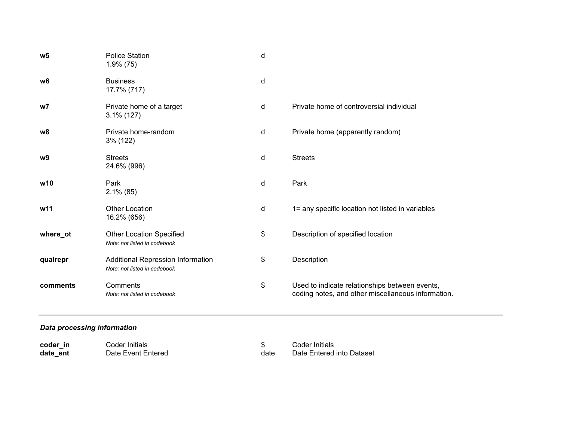| w5       | <b>Police Station</b><br>$1.9\%$ (75)                             | d  |                                                                                                      |
|----------|-------------------------------------------------------------------|----|------------------------------------------------------------------------------------------------------|
| w6       | <b>Business</b><br>17.7% (717)                                    | d  |                                                                                                      |
| w7       | Private home of a target<br>$3.1\%$ (127)                         | d  | Private home of controversial individual                                                             |
| w8       | Private home-random<br>3% (122)                                   | d  | Private home (apparently random)                                                                     |
| w9       | <b>Streets</b><br>24.6% (996)                                     | d  | <b>Streets</b>                                                                                       |
| w10      | Park<br>$2.1\%$ (85)                                              | d  | Park                                                                                                 |
| w11      | <b>Other Location</b><br>16.2% (656)                              | d  | 1= any specific location not listed in variables                                                     |
| where_ot | <b>Other Location Specified</b><br>Note: not listed in codebook   | \$ | Description of specified location                                                                    |
| qualrepr | Additional Repression Information<br>Note: not listed in codebook | \$ | Description                                                                                          |
| comments | Comments<br>Note: not listed in codebook                          | \$ | Used to indicate relationships between events,<br>coding notes, and other miscellaneous information. |

### *Data processing information*

| coder in | Coder Initials     |      | Coder Initials            |
|----------|--------------------|------|---------------------------|
| date ent | Date Event Entered | date | Date Entered into Dataset |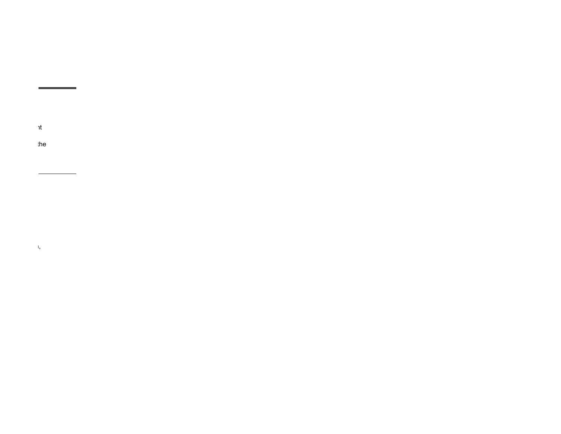$\mathbf{R}$  and month  $\mathbf{R}$ 

\_\_\_\_\_\_\_

 $\mathcal{E}$  at the final four digital four digits is a unique number assigned to the four digits is a unique number assigned to the  $\mathcal{E}$ 

Also Caucasian, Irish, Italian, British, Anglo, Yugoslavian, Polish American,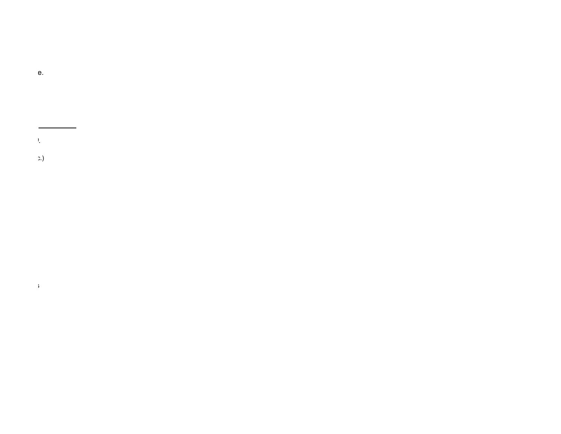$1-\epsilon$  and listed in race group  $e$ .

*Each type found in description of event coded 1; all others coded 0.*

 $\mathcal{P}$  in damage to property (ransacking, burning, burning, burning, etc.)

Damage to property: vandalism, flooding, breaking, overturning, (excludes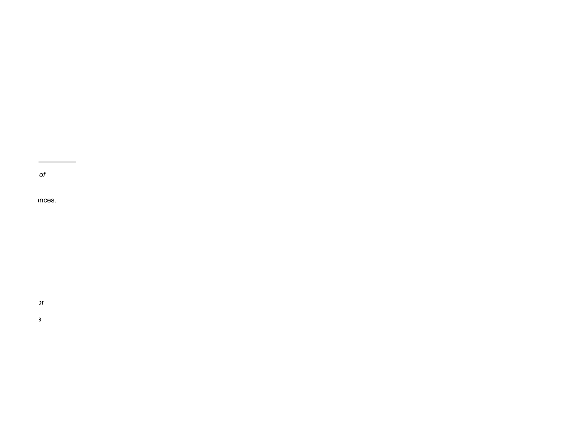*Location of event, date event started and ended, duration, number of* 

 $\overline{\phantom{0}}$ 

endified as inces.

Data was missing on this variable. In rare cases where *sequence* or

Otherwise, *start date* filled in with the 15th of the month; *end date* is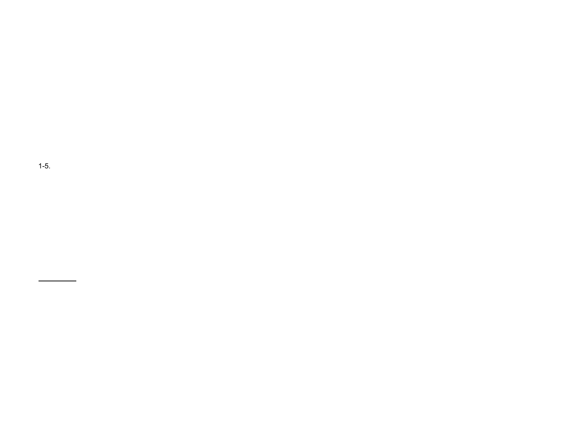$1-5.$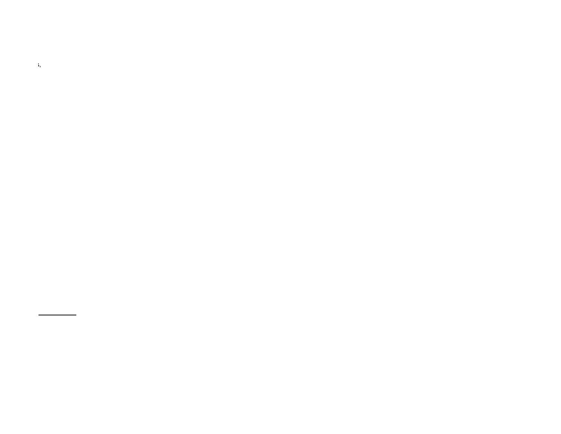$W_{\alpha}$  is on projections guns, includes guns,  $W_{\alpha}$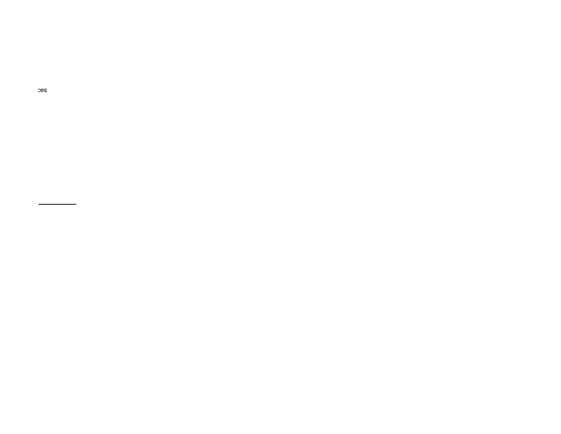$2eS$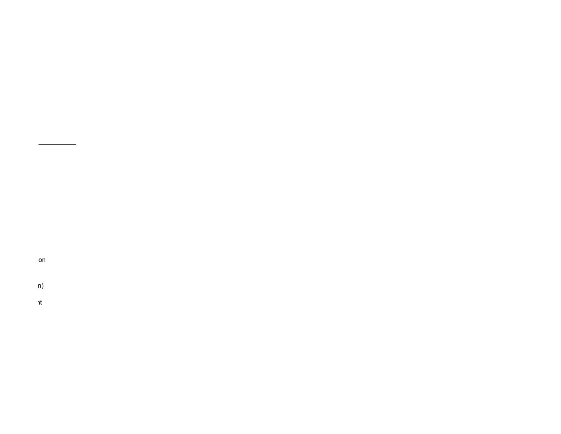1 = Police 3 = Arrest 2 = Arrival on Police 3 = Arrest 2 = Arrival on Police 3 = Controversial violent Police

 $(n)$  announcement by announcement by authority figure (e.g. court decision)

 $\mathbf{R} = \mathbf{S}$  incident (e.g. Kent State) 10  $\mathbf{R}$